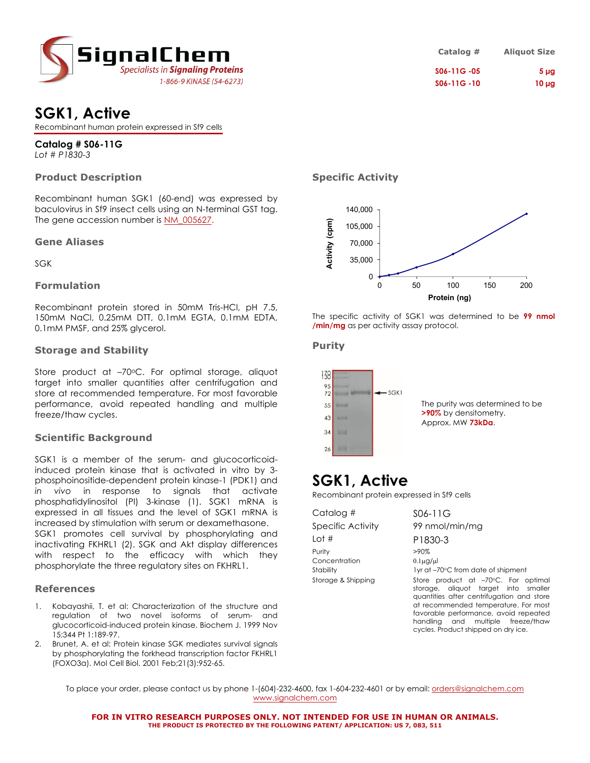

| Catalog #   | <b>Aliquot Size</b> |
|-------------|---------------------|
| S06-11G -05 | 5 <sub>µq</sub>     |
| S06-11G -10 | $10 \mu g$          |

## **SGK1, Active**

Recombinant human protein expressed in Sf9 cells

**Catalog # S06-11G** *Lot # P1830-3*

### **Product Description**

Recombinant human SGK1 (60-end) was expressed by baculovirus in Sf9 insect cells using an N-terminal GST tag. The gene accession number is NM\_005627.

### **Gene Aliases**

SGK

### **Formulation**

Recombinant protein stored in 50mM Tris-HCl, pH 7.5, 150mM NaCl, 0.25mM DTT, 0.1mM EGTA, 0.1mM EDTA, 0.1mM PMSF, and 25% glycerol.

### **Storage and Stability**

Store product at -70°C. For optimal storage, aliquot target into smaller quantities after centrifugation and store at recommended temperature. For most favorable performance, avoid repeated handling and multiple freeze/thaw cycles.

### **Scientific Background**

SGK1 is a member of the serum- and glucocorticoidinduced protein kinase that is activated in vitro by 3 phosphoinositide-dependent protein kinase-1 (PDK1) and *in vivo* in response to signals that activate phosphatidylinositol (PI) 3-kinase (1). SGK1 mRNA is expressed in all tissues and the level of SGK1 mRNA is increased by stimulation with serum or dexamethasone. SGK1 promotes cell survival by phosphorylating and inactivating FKHRL1 (2). SGK and Akt display differences with respect to the efficacy with which they phosphorylate the three regulatory sites on FKHRL1.

### **References**

- 1. Kobayashii, T. et al: Characterization of the structure and regulation of two novel isoforms of serum- and glucocorticoid-induced protein kinase. Biochem J. 1999 Nov 15;344 Pt 1:189-97.
- 2. Brunet, A. et al: Protein kinase SGK mediates survival sianals by phosphorylating the forkhead transcription factor FKHRL1 (FOXO3a). Mol Cell Biol. 2001 Feb;21(3):952-65.

### **Specific Activity**



The specific activity of SGK1 was determined to be **99 nmol /min/mg** as per activity assay protocol.

### **Purity**



### **SGK1, Active**

Recombinant protein expressed in Sf9 cells

| Catalog #                  | S06-11G                                                                                                                                                          |
|----------------------------|------------------------------------------------------------------------------------------------------------------------------------------------------------------|
| <b>Specific Activity</b>   | 99 nmol/min/mg                                                                                                                                                   |
| Lot #                      | P1830-3                                                                                                                                                          |
| Purity                     | $>90\%$                                                                                                                                                          |
| Concentration<br>Stability | $0.1\mu$ g/µl<br>1yr at -70°C from date of shipment                                                                                                              |
| Storage & Shipping         | Store product at -70°C. For optimal<br>storage, aliquot target into smaller<br>quantities after centrifugation and store<br>at recommended temperature. For most |

favorable performance, avoid repeated handling and multiple freeze/thaw cycles. Product shipped on dry ice.

To place your order, please contact us by phone 1-(604)-232-4600, fax 1-604-232-4601 or by email: orders@signalchem.com www.signalchem.com

**FOR IN VITRO RESEARCH PURPOSES ONLY. NOT INTENDED FOR USE IN HUMAN OR ANIMALS. THE PRODUCT IS PROTECTED BY THE FOLLOWING PATENT/ APPLICATION: US 7, 083, 511**